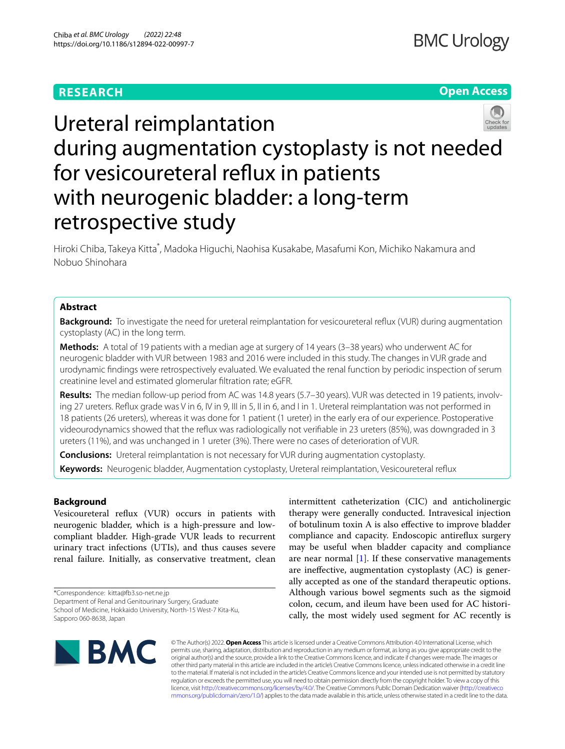# **RESEARCH**

# **Open Access**



# Ureteral reimplantation during augmentation cystoplasty is not needed for vesicoureteral refux in patients with neurogenic bladder: a long-term retrospective study

Hiroki Chiba, Takeya Kitta<sup>\*</sup>, Madoka Higuchi, Naohisa Kusakabe, Masafumi Kon, Michiko Nakamura and Nobuo Shinohara

### **Abstract**

**Background:** To investigate the need for ureteral reimplantation for vesicoureteral reflux (VUR) during augmentation cystoplasty (AC) in the long term.

**Methods:** A total of 19 patients with a median age at surgery of 14 years (3–38 years) who underwent AC for neurogenic bladder with VUR between 1983 and 2016 were included in this study. The changes in VUR grade and urodynamic fndings were retrospectively evaluated. We evaluated the renal function by periodic inspection of serum creatinine level and estimated glomerular fltration rate; eGFR.

**Results:** The median follow-up period from AC was 14.8 years (5.7–30 years). VUR was detected in 19 patients, involving 27 ureters. Refux grade was V in 6, IV in 9, III in 5, II in 6, and I in 1. Ureteral reimplantation was not performed in 18 patients (26 ureters), whereas it was done for 1 patient (1 ureter) in the early era of our experience. Postoperative videourodynamics showed that the refux was radiologically not verifable in 23 ureters (85%), was downgraded in 3 ureters (11%), and was unchanged in 1 ureter (3%). There were no cases of deterioration of VUR.

**Conclusions:** Ureteral reimplantation is not necessary for VUR during augmentation cystoplasty.

**Keywords:** Neurogenic bladder, Augmentation cystoplasty, Ureteral reimplantation, Vesicoureteral refux

## **Background**

Vesicoureteral refux (VUR) occurs in patients with neurogenic bladder, which is a high-pressure and lowcompliant bladder. High-grade VUR leads to recurrent urinary tract infections (UTIs), and thus causes severe renal failure. Initially, as conservative treatment, clean

\*Correspondence: kitta@fb3.so-net.ne.jp

Department of Renal and Genitourinary Surgery, Graduate

School of Medicine, Hokkaido University, North-15 West-7 Kita-Ku, Sapporo 060-8638, Japan

intermittent catheterization (CIC) and anticholinergic therapy were generally conducted. Intravesical injection of botulinum toxin A is also efective to improve bladder compliance and capacity. Endoscopic antirefux surgery may be useful when bladder capacity and compliance are near normal  $[1]$  $[1]$ . If these conservative managements are inefective, augmentation cystoplasty (AC) is generally accepted as one of the standard therapeutic options. Although various bowel segments such as the sigmoid colon, cecum, and ileum have been used for AC historically, the most widely used segment for AC recently is



© The Author(s) 2022. **Open Access** This article is licensed under a Creative Commons Attribution 4.0 International License, which permits use, sharing, adaptation, distribution and reproduction in any medium or format, as long as you give appropriate credit to the original author(s) and the source, provide a link to the Creative Commons licence, and indicate if changes were made. The images or other third party material in this article are included in the article's Creative Commons licence, unless indicated otherwise in a credit line to the material. If material is not included in the article's Creative Commons licence and your intended use is not permitted by statutory regulation or exceeds the permitted use, you will need to obtain permission directly from the copyright holder. To view a copy of this licence, visit [http://creativecommons.org/licenses/by/4.0/.](http://creativecommons.org/licenses/by/4.0/) The Creative Commons Public Domain Dedication waiver ([http://creativeco](http://creativecommons.org/publicdomain/zero/1.0/) [mmons.org/publicdomain/zero/1.0/](http://creativecommons.org/publicdomain/zero/1.0/)) applies to the data made available in this article, unless otherwise stated in a credit line to the data.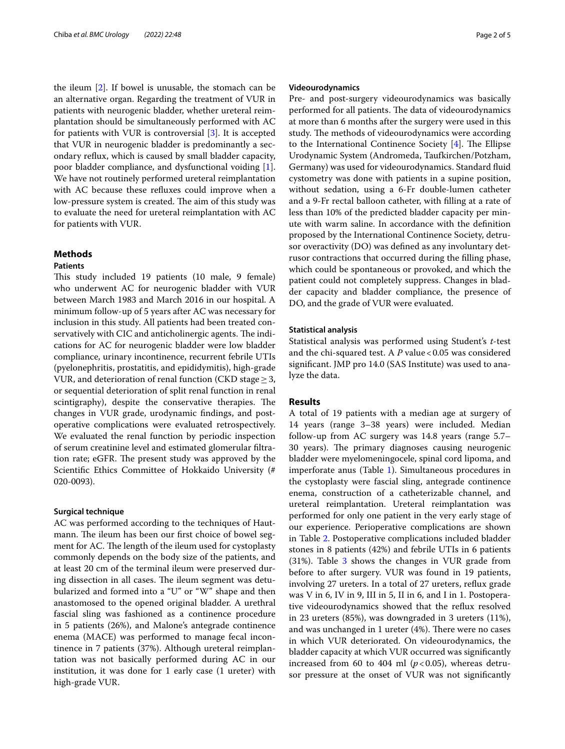the ileum [\[2](#page-4-1)]. If bowel is unusable, the stomach can be an alternative organ. Regarding the treatment of VUR in patients with neurogenic bladder, whether ureteral reimplantation should be simultaneously performed with AC for patients with VUR is controversial [[3\]](#page-4-2). It is accepted that VUR in neurogenic bladder is predominantly a secondary refux, which is caused by small bladder capacity, poor bladder compliance, and dysfunctional voiding [\[1](#page-4-0)]. We have not routinely performed ureteral reimplantation with AC because these refuxes could improve when a low-pressure system is created. The aim of this study was to evaluate the need for ureteral reimplantation with AC for patients with VUR.

#### **Methods**

#### **Patients**

This study included 19 patients (10 male, 9 female) who underwent AC for neurogenic bladder with VUR between March 1983 and March 2016 in our hospital. A minimum follow-up of 5 years after AC was necessary for inclusion in this study. All patients had been treated conservatively with CIC and anticholinergic agents. The indications for AC for neurogenic bladder were low bladder compliance, urinary incontinence, recurrent febrile UTIs (pyelonephritis, prostatitis, and epididymitis), high-grade VUR, and deterioration of renal function (CKD stage  $\geq$  3, or sequential deterioration of split renal function in renal scintigraphy), despite the conservative therapies. The changes in VUR grade, urodynamic fndings, and postoperative complications were evaluated retrospectively. We evaluated the renal function by periodic inspection of serum creatinine level and estimated glomerular fltration rate; eGFR. The present study was approved by the Scientifc Ethics Committee of Hokkaido University (# 020-0093).

#### **Surgical technique**

AC was performed according to the techniques of Hautmann. The ileum has been our first choice of bowel segment for AC. The length of the ileum used for cystoplasty commonly depends on the body size of the patients, and at least 20 cm of the terminal ileum were preserved during dissection in all cases. The ileum segment was detubularized and formed into a "U" or "W" shape and then anastomosed to the opened original bladder. A urethral fascial sling was fashioned as a continence procedure in 5 patients (26%), and Malone's antegrade continence enema (MACE) was performed to manage fecal incontinence in 7 patients (37%). Although ureteral reimplantation was not basically performed during AC in our institution, it was done for 1 early case (1 ureter) with high-grade VUR.

#### **Videourodynamics**

Pre- and post-surgery videourodynamics was basically performed for all patients. The data of videourodynamics at more than 6 months after the surgery were used in this study. The methods of videourodynamics were according to the International Continence Society  $[4]$  $[4]$ . The Ellipse Urodynamic System (Andromeda, Taufkirchen/Potzham, Germany) was used for videourodynamics. Standard fuid cystometry was done with patients in a supine position, without sedation, using a 6-Fr double-lumen catheter and a 9-Fr rectal balloon catheter, with flling at a rate of less than 10% of the predicted bladder capacity per minute with warm saline. In accordance with the defnition proposed by the International Continence Society, detrusor overactivity (DO) was defned as any involuntary detrusor contractions that occurred during the flling phase, which could be spontaneous or provoked, and which the patient could not completely suppress. Changes in bladder capacity and bladder compliance, the presence of DO, and the grade of VUR were evaluated.

#### **Statistical analysis**

Statistical analysis was performed using Student's *t*-test and the chi-squared test. A *P* value <0.05 was considered signifcant. JMP pro 14.0 (SAS Institute) was used to analyze the data.

#### **Results**

A total of 19 patients with a median age at surgery of 14 years (range 3–38 years) were included. Median follow-up from AC surgery was 14.8 years (range 5.7– 30 years). The primary diagnoses causing neurogenic bladder were myelomeningocele, spinal cord lipoma, and imperforate anus (Table [1\)](#page-2-0). Simultaneous procedures in the cystoplasty were fascial sling, antegrade continence enema, construction of a catheterizable channel, and ureteral reimplantation. Ureteral reimplantation was performed for only one patient in the very early stage of our experience. Perioperative complications are shown in Table [2.](#page-2-1) Postoperative complications included bladder stones in 8 patients (42%) and febrile UTIs in 6 patients  $(31%)$ . Table [3](#page-2-2) shows the changes in VUR grade from before to after surgery. VUR was found in 19 patients, involving 27 ureters. In a total of 27 ureters, refux grade was V in 6, IV in 9, III in 5, II in 6, and I in 1. Postoperative videourodynamics showed that the refux resolved in 23 ureters (85%), was downgraded in 3 ureters (11%), and was unchanged in 1 ureter (4%). There were no cases in which VUR deteriorated. On videourodynamics, the bladder capacity at which VUR occurred was signifcantly increased from 60 to 404 ml  $(p<0.05)$ , whereas detrusor pressure at the onset of VUR was not signifcantly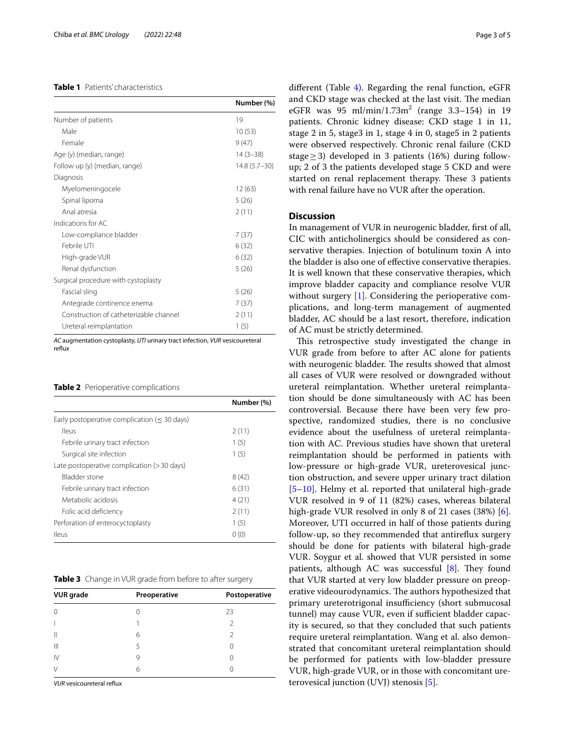#### <span id="page-2-0"></span>**Table 1** Patients' characteristics

|                                        | Number (%)       |
|----------------------------------------|------------------|
| Number of patients                     | 19               |
| Male                                   | 10(53)           |
| Female                                 | 9(47)            |
| Age (y) (median, range)                | $14(3-38)$       |
| Follow up (y) (median, range)          | $14.8(5.7 - 30)$ |
| Diagnosis                              |                  |
| Myelomeningocele                       | 12(63)           |
| Spinal lipoma                          | 5(26)            |
| Anal atresia                           | 2(11)            |
| Indications for AC                     |                  |
| Low-compliance bladder                 | 7(37)            |
| Febrile UTI                            | 6(32)            |
| High-grade VUR                         | 6(32)            |
| Renal dysfunction                      | 5(26)            |
| Surgical procedure with cystoplasty    |                  |
| Fascial sling                          | 5(26)            |
| Antegrade continence enema             | 7(37)            |
| Construction of catheterizable channel | 2(11)            |
| Ureteral reimplantation                | 1(5)             |

*AC* augmentation cystoplasty, *UTI* urinary tract infection, *VUR* vesicoureteral reflux

#### <span id="page-2-1"></span>**Table 2** Perioperative complications

|                                                        | Number (%) |
|--------------------------------------------------------|------------|
| Early postoperative complication $(< 30 \text{ days})$ |            |
| <b>Ileus</b>                                           | 2(11)      |
| Febrile urinary tract infection                        | 1(5)       |
| Surgical site infection                                | 1(5)       |
| Late postoperative complication $(>30 \text{ days})$   |            |
| Bladder stone                                          | 8(42)      |
| Febrile urinary tract infection                        | 6(31)      |
| Metabolic acidosis                                     | 4(21)      |
| Folic acid deficiency                                  | 2(11)      |
| Perforation of enterocyctoplasty                       | 1(5)       |
| lleus                                                  | 0(0)       |

<span id="page-2-2"></span>

|  |  |  | Table 3 Change in VUR grade from before to after surgery |  |  |
|--|--|--|----------------------------------------------------------|--|--|
|--|--|--|----------------------------------------------------------|--|--|

| <b>VUR</b> grade | Preoperative | Postoperative |
|------------------|--------------|---------------|
| $\Omega$         |              | 23            |
|                  |              | $\mathcal{L}$ |
| $\parallel$      | 6            | $\mathcal{D}$ |
| $\mathbb{H}$     | 5            |               |
| $\mathsf{IV}$    | 9            |               |
| ν                | 6            |               |

*VUR* vesicoureteral refux

different (Table [4\)](#page-3-0). Regarding the renal function, eGFR and CKD stage was checked at the last visit. The median eGFR was  $95 \text{ ml/min}/1.73 \text{ m}^2$  (range  $3.3-154$ ) in 19 patients. Chronic kidney disease: CKD stage 1 in 11, stage 2 in 5, stage3 in 1, stage 4 in 0, stage5 in 2 patients were observed respectively. Chronic renal failure (CKD stage  $\geq$  3) developed in 3 patients (16%) during followup; 2 of 3 the patients developed stage 5 CKD and were started on renal replacement therapy. These 3 patients with renal failure have no VUR after the operation.

#### **Discussion**

In management of VUR in neurogenic bladder, frst of all, CIC with anticholinergics should be considered as conservative therapies. Injection of botulinum toxin A into the bladder is also one of efective conservative therapies. It is well known that these conservative therapies, which improve bladder capacity and compliance resolve VUR without surgery [[1\]](#page-4-0). Considering the perioperative complications, and long-term management of augmented bladder, AC should be a last resort, therefore, indication of AC must be strictly determined.

This retrospective study investigated the change in VUR grade from before to after AC alone for patients with neurogenic bladder. The results showed that almost all cases of VUR were resolved or downgraded without ureteral reimplantation. Whether ureteral reimplantation should be done simultaneously with AC has been controversial. Because there have been very few prospective, randomized studies, there is no conclusive evidence about the usefulness of ureteral reimplantation with AC. Previous studies have shown that ureteral reimplantation should be performed in patients with low-pressure or high-grade VUR, ureterovesical junction obstruction, and severe upper urinary tract dilation [[5–](#page-4-4)[10\]](#page-4-5). Helmy et al. reported that unilateral high-grade VUR resolved in 9 of 11 (82%) cases, whereas bilateral high-grade VUR resolved in only 8 of 21 cases (38%) [\[6](#page-4-6)]. Moreover, UTI occurred in half of those patients during follow-up, so they recommended that antirefux surgery should be done for patients with bilateral high-grade VUR. Soygur et al. showed that VUR persisted in some patients, although AC was successful  $[8]$ . They found that VUR started at very low bladder pressure on preoperative videourodynamics. The authors hypothesized that primary ureterotrigonal insufficiency (short submucosal tunnel) may cause VUR, even if sufficient bladder capacity is secured, so that they concluded that such patients require ureteral reimplantation. Wang et al. also demonstrated that concomitant ureteral reimplantation should be performed for patients with low-bladder pressure VUR, high-grade VUR, or in those with concomitant ureterovesical junction (UVJ) stenosis [\[5](#page-4-4)].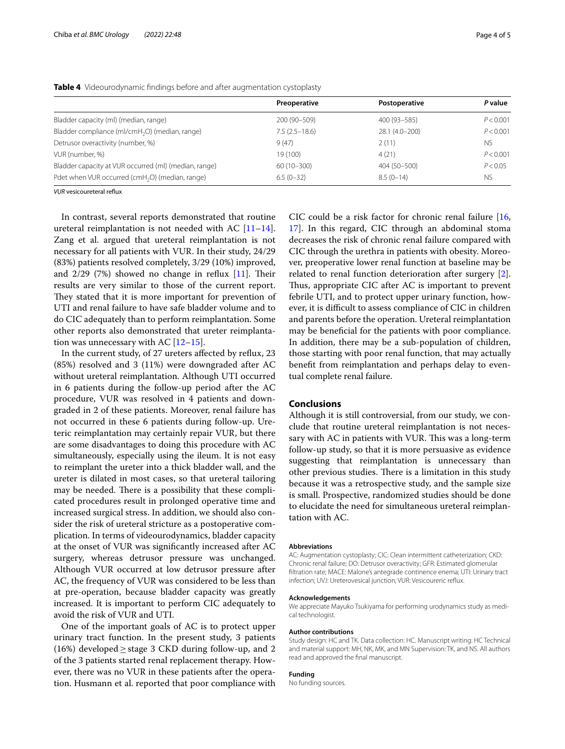|                                                             | Preoperative    | Postoperative  | P value   |
|-------------------------------------------------------------|-----------------|----------------|-----------|
| Bladder capacity (ml) (median, range)                       | 200 (90-509)    | 400 (93-585)   | P < 0.001 |
| Bladder compliance (ml/cmH <sub>2</sub> O) (median, range)  | $7.5(2.5-18.6)$ | 28.1 (4.0-200) | P < 0.001 |
| Detrusor overactivity (number, %)                           | 9(47)           | 2(11)          | NS.       |
| VUR (number, %)                                             | 19 (100)        | 4(21)          | P < 0.001 |
| Bladder capacity at VUR occurred (ml) (median, range)       | $60(10-300)$    | 404 (50-500)   | P < 0.05  |
| Pdet when VUR occurred (cmH <sub>2</sub> O) (median, range) | $6.5(0-32)$     | $8.5(0-14)$    | <b>NS</b> |

<span id="page-3-0"></span>**Table 4** Videourodynamic fndings before and after augmentation cystoplasty

*VUR* vesicoureteral refux

In contrast, several reports demonstrated that routine ureteral reimplantation is not needed with AC  $[11-14]$  $[11-14]$  $[11-14]$ . Zang et al. argued that ureteral reimplantation is not necessary for all patients with VUR. In their study, 24/29 (83%) patients resolved completely, 3/29 (10%) improved, and  $2/29$  (7%) showed no change in reflux [\[11\]](#page-4-8). Their results are very similar to those of the current report. They stated that it is more important for prevention of UTI and renal failure to have safe bladder volume and to do CIC adequately than to perform reimplantation. Some other reports also demonstrated that ureter reimplantation was unnecessary with AC  $[12-15]$  $[12-15]$ .

In the current study, of 27 ureters afected by refux, 23 (85%) resolved and 3 (11%) were downgraded after AC without ureteral reimplantation. Although UTI occurred in 6 patients during the follow-up period after the AC procedure, VUR was resolved in 4 patients and downgraded in 2 of these patients. Moreover, renal failure has not occurred in these 6 patients during follow-up. Ureteric reimplantation may certainly repair VUR, but there are some disadvantages to doing this procedure with AC simultaneously, especially using the ileum. It is not easy to reimplant the ureter into a thick bladder wall, and the ureter is dilated in most cases, so that ureteral tailoring may be needed. There is a possibility that these complicated procedures result in prolonged operative time and increased surgical stress. In addition, we should also consider the risk of ureteral stricture as a postoperative complication. In terms of videourodynamics, bladder capacity at the onset of VUR was signifcantly increased after AC surgery, whereas detrusor pressure was unchanged. Although VUR occurred at low detrusor pressure after AC, the frequency of VUR was considered to be less than at pre-operation, because bladder capacity was greatly increased. It is important to perform CIC adequately to avoid the risk of VUR and UTI.

One of the important goals of AC is to protect upper urinary tract function. In the present study, 3 patients (16%) developed  $\geq$  stage 3 CKD during follow-up, and 2 of the 3 patients started renal replacement therapy. However, there was no VUR in these patients after the operation. Husmann et al. reported that poor compliance with CIC could be a risk factor for chronic renal failure [[16](#page-4-12), [17\]](#page-4-13). In this regard, CIC through an abdominal stoma decreases the risk of chronic renal failure compared with CIC through the urethra in patients with obesity. Moreover, preoperative lower renal function at baseline may be related to renal function deterioration after surgery [\[2](#page-4-1)]. Thus, appropriate CIC after AC is important to prevent febrile UTI, and to protect upper urinary function, however, it is difficult to assess compliance of CIC in children and parents before the operation. Ureteral reimplantation may be benefcial for the patients with poor compliance. In addition, there may be a sub-population of children, those starting with poor renal function, that may actually beneft from reimplantation and perhaps delay to eventual complete renal failure.

#### **Conclusions**

Although it is still controversial, from our study, we conclude that routine ureteral reimplantation is not necessary with AC in patients with VUR. This was a long-term follow-up study, so that it is more persuasive as evidence suggesting that reimplantation is unnecessary than other previous studies. There is a limitation in this study because it was a retrospective study, and the sample size is small. Prospective, randomized studies should be done to elucidate the need for simultaneous ureteral reimplantation with AC.

#### **Abbreviations**

AC: Augmentation cystoplasty; CIC: Clean intermittent catheterization; CKD: Chronic renal failure; DO: Detrusor overactivity; GFR: Estimated glomerular fltration rate; MACE: Malone's antegrade continence enema; UTI: Urinary tract infection; UVJ: Ureterovesical junction; VUR: Vesicoureric refux.

#### **Acknowledgements**

We appreciate Mayuko Tsukiyama for performing urodynamics study as medical technologist.

#### **Author contributions**

Study design: HC and TK. Data collection: HC. Manuscript writing: HC Technical and material support: MH, NK, MK, and MN Supervision: TK, and NS. All authors read and approved the fnal manuscript.

#### **Funding**

No funding sources.